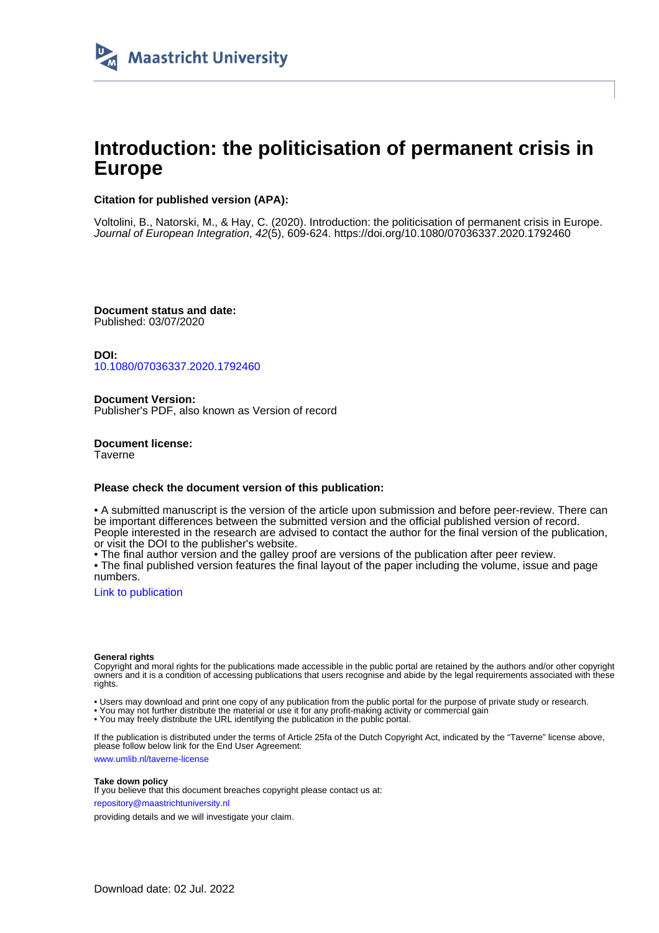

# **Introduction: the politicisation of permanent crisis in Europe**

## **Citation for published version (APA):**

Voltolini, B., Natorski, M., & Hay, C. (2020). Introduction: the politicisation of permanent crisis in Europe. Journal of European Integration, 42(5), 609-624. <https://doi.org/10.1080/07036337.2020.1792460>

**Document status and date:** Published: 03/07/2020

**DOI:** [10.1080/07036337.2020.1792460](https://doi.org/10.1080/07036337.2020.1792460)

**Document Version:** Publisher's PDF, also known as Version of record

**Document license: Taverne** 

#### **Please check the document version of this publication:**

• A submitted manuscript is the version of the article upon submission and before peer-review. There can be important differences between the submitted version and the official published version of record. People interested in the research are advised to contact the author for the final version of the publication, or visit the DOI to the publisher's website.

• The final author version and the galley proof are versions of the publication after peer review.

• The final published version features the final layout of the paper including the volume, issue and page numbers.

[Link to publication](https://cris.maastrichtuniversity.nl/en/publications/c0e079dc-27ff-4cb9-9089-1494c7411ff8)

#### **General rights**

Copyright and moral rights for the publications made accessible in the public portal are retained by the authors and/or other copyright owners and it is a condition of accessing publications that users recognise and abide by the legal requirements associated with these rights.

• Users may download and print one copy of any publication from the public portal for the purpose of private study or research.

• You may not further distribute the material or use it for any profit-making activity or commercial gain

• You may freely distribute the URL identifying the publication in the public portal.

If the publication is distributed under the terms of Article 25fa of the Dutch Copyright Act, indicated by the "Taverne" license above, please follow below link for the End User Agreement:

www.umlib.nl/taverne-license

#### **Take down policy**

If you believe that this document breaches copyright please contact us at: repository@maastrichtuniversity.nl

providing details and we will investigate your claim.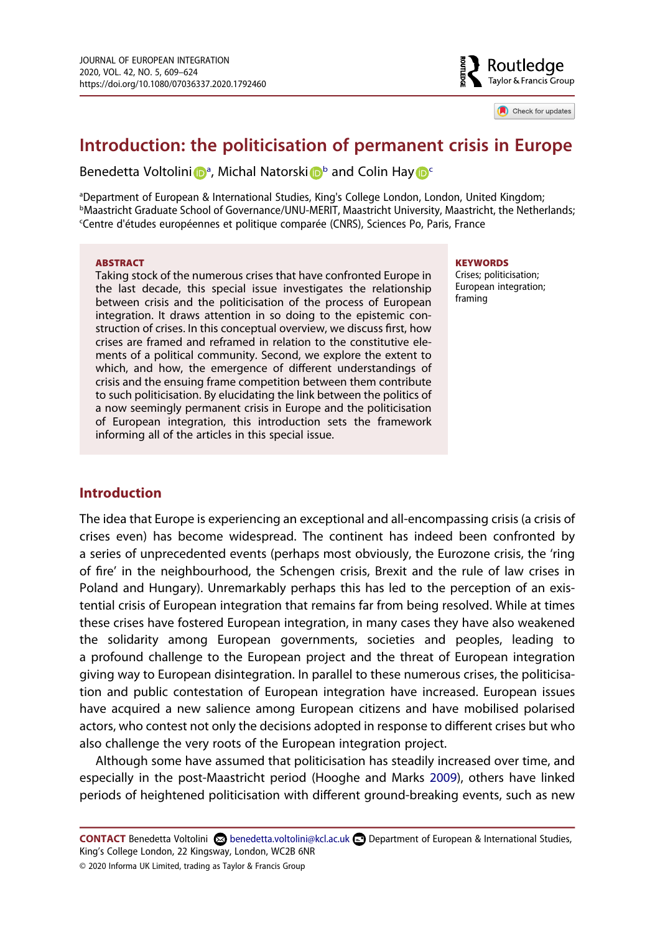

Check for updates

## **Introduction: the politicisation of permanent crisis in Europe**

Benedett[a](#page-1-0) Voltol[i](http://orcid.org/0000-0002-2736-1709)ni D<sup>a</sup>, Michal Natorski D<sup>[b](#page-1-1)</sup> and Colin Ha[y](http://orcid.org/0000-0001-6327-6547) D<sup>e</sup>

<span id="page-1-2"></span><span id="page-1-1"></span><span id="page-1-0"></span><sup>a</sup>Department of European & International Studies, King's College London, London, United Kingdom;<br><sup>b</sup>Maastricht Graduate School of Governance/UNU-MERIT, Maastricht University, Maastricht, the Nether **Maastricht Graduate School of Governance/UNU-MERIT, Maastricht University, Maastricht, the Netherlands;** Centre d'études européennes et politique comparée (CNRS), Sciences Po, Paris, France

#### **ABSTRACT**

Taking stock of the numerous crises that have confronted Europe in the last decade, this special issue investigates the relationship between crisis and the politicisation of the process of European integration. It draws attention in so doing to the epistemic construction of crises. In this conceptual overview, we discuss first, how crises are framed and reframed in relation to the constitutive elements of a political community. Second, we explore the extent to which, and how, the emergence of different understandings of crisis and the ensuing frame competition between them contribute to such politicisation. By elucidating the link between the politics of a now seemingly permanent crisis in Europe and the politicisation of European integration, this introduction sets the framework informing all of the articles in this special issue.

#### **KEYWORDS**

Crises; politicisation; European integration; framing

## **Introduction**

The idea that Europe is experiencing an exceptional and all-encompassing crisis (a crisis of crises even) has become widespread. The continent has indeed been confronted by a series of unprecedented events (perhaps most obviously, the Eurozone crisis, the 'ring of fire' in the neighbourhood, the Schengen crisis, Brexit and the rule of law crises in Poland and Hungary). Unremarkably perhaps this has led to the perception of an existential crisis of European integration that remains far from being resolved. While at times these crises have fostered European integration, in many cases they have also weakened the solidarity among European governments, societies and peoples, leading to a profound challenge to the European project and the threat of European integration giving way to European disintegration. In parallel to these numerous crises, the politicisation and public contestation of European integration have increased. European issues have acquired a new salience among European citizens and have mobilised polarised actors, who contest not only the decisions adopted in response to different crises but who also challenge the very roots of the European integration project.

<span id="page-1-3"></span>Although some have assumed that politicisation has steadily increased over time, and especially in the post-Maastricht period (Hooghe and Marks [2009](#page-14-0)), others have linked periods of heightened politicisation with different ground-breaking events, such as new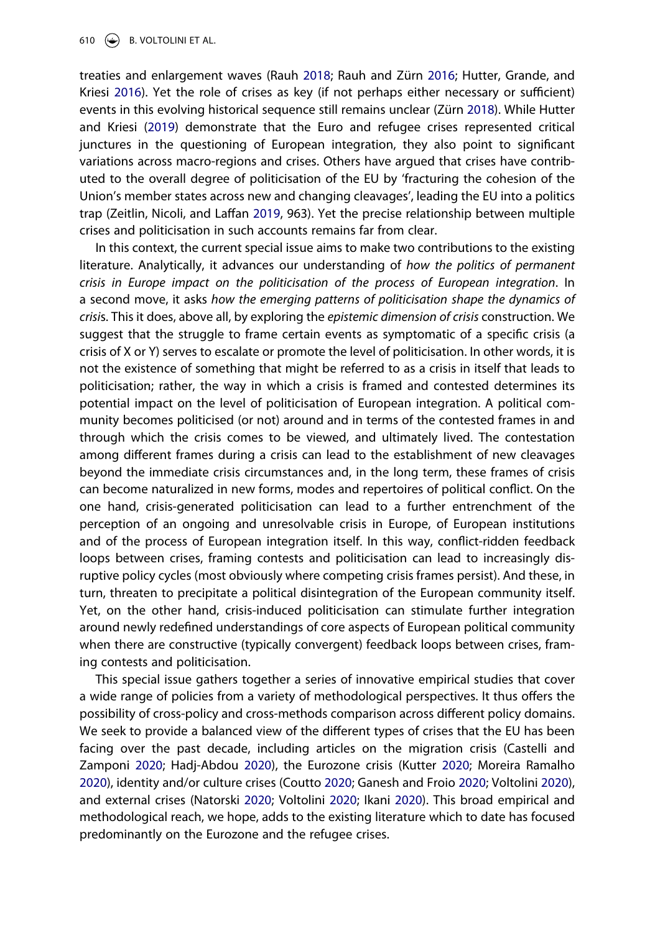610  $\leftrightarrow$  B. VOLTOLINI ET AL.

<span id="page-2-7"></span><span id="page-2-5"></span><span id="page-2-3"></span><span id="page-2-2"></span>treaties and enlargement waves (Rauh [2018;](#page-15-0) Rauh and Zürn [2016;](#page-15-1) Hutter, Grande, and Kriesi [2016\)](#page-15-2). Yet the role of crises as key (if not perhaps either necessary or sufficient) events in this evolving historical sequence still remains unclear (Zürn [2018](#page-16-0)). While Hutter and Kriesi [\(2019\)](#page-15-3) demonstrate that the Euro and refugee crises represented critical junctures in the questioning of European integration, they also point to significant variations across macro-regions and crises. Others have argued that crises have contributed to the overall degree of politicisation of the EU by 'fracturing the cohesion of the Union's member states across new and changing cleavages', leading the EU into a politics trap (Zeitlin, Nicoli, and Laffan [2019](#page-16-1), 963). Yet the precise relationship between multiple crises and politicisation in such accounts remains far from clear.

<span id="page-2-6"></span>In this context, the current special issue aims to make two contributions to the existing literature. Analytically, it advances our understanding of *how the politics of permanent crisis in Europe impact on the politicisation of the process of European integration*. In a second move, it asks *how the emerging patterns of politicisation shape the dynamics of crisi*s. This it does, above all, by exploring the *epistemic dimension of crisis* construction. We suggest that the struggle to frame certain events as symptomatic of a specific crisis (a crisis of X or Y) serves to escalate or promote the level of politicisation. In other words, it is not the existence of something that might be referred to as a crisis in itself that leads to politicisation; rather, the way in which a crisis is framed and contested determines its potential impact on the level of politicisation of European integration. A political community becomes politicised (or not) around and in terms of the contested frames in and through which the crisis comes to be viewed, and ultimately lived. The contestation among different frames during a crisis can lead to the establishment of new cleavages beyond the immediate crisis circumstances and, in the long term, these frames of crisis can become naturalized in new forms, modes and repertoires of political conflict. On the one hand, crisis-generated politicisation can lead to a further entrenchment of the perception of an ongoing and unresolvable crisis in Europe, of European institutions and of the process of European integration itself. In this way, conflict-ridden feedback loops between crises, framing contests and politicisation can lead to increasingly disruptive policy cycles (most obviously where competing crisis frames persist). And these, in turn, threaten to precipitate a political disintegration of the European community itself. Yet, on the other hand, crisis-induced politicisation can stimulate further integration around newly redefined understandings of core aspects of European political community when there are constructive (typically convergent) feedback loops between crises, framing contests and politicisation.

<span id="page-2-4"></span><span id="page-2-1"></span><span id="page-2-0"></span>This special issue gathers together a series of innovative empirical studies that cover a wide range of policies from a variety of methodological perspectives. It thus offers the possibility of cross-policy and cross-methods comparison across different policy domains. We seek to provide a balanced view of the different types of crises that the EU has been facing over the past decade, including articles on the migration crisis (Castelli and Zamponi [2020;](#page-14-1) Hadj-Abdou [2020\)](#page-14-2), the Eurozone crisis (Kutter [2020;](#page-15-4) Moreira Ramalho [2020\)](#page-15-5), identity and/or culture crises (Coutto [2020](#page-14-3); Ganesh and Froio [2020](#page-14-4); Voltolini [2020](#page-16-2)), and external crises (Natorski [2020;](#page-15-6) Voltolini [2020;](#page-16-2) Ikani [2020](#page-15-7)). This broad empirical and methodological reach, we hope, adds to the existing literature which to date has focused predominantly on the Eurozone and the refugee crises.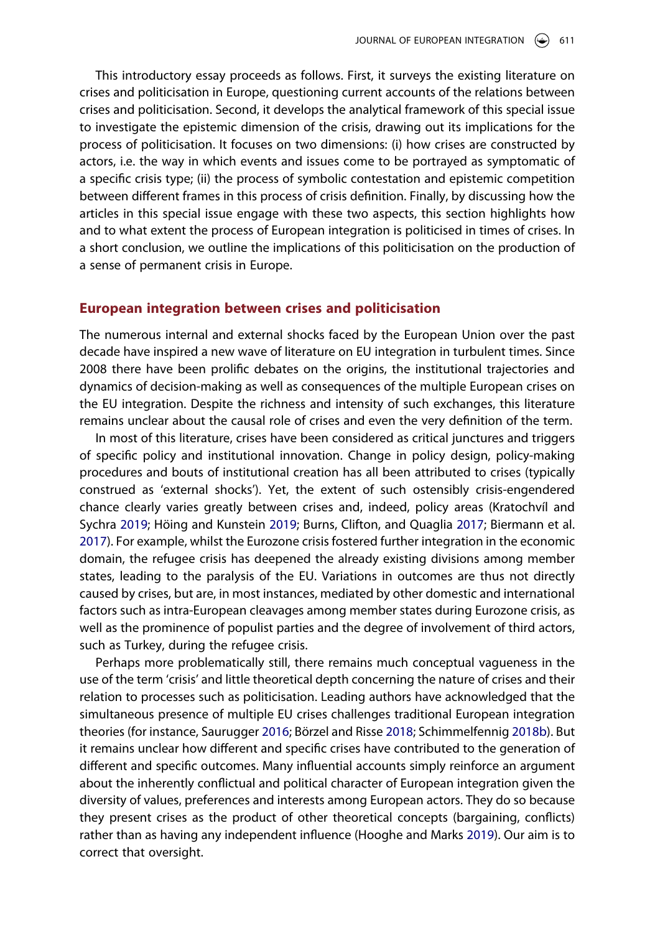This introductory essay proceeds as follows. First, it surveys the existing literature on crises and politicisation in Europe, questioning current accounts of the relations between crises and politicisation. Second, it develops the analytical framework of this special issue to investigate the epistemic dimension of the crisis, drawing out its implications for the process of politicisation. It focuses on two dimensions: (i) how crises are constructed by actors, i.e. the way in which events and issues come to be portrayed as symptomatic of a specific crisis type; (ii) the process of symbolic contestation and epistemic competition between different frames in this process of crisis definition. Finally, by discussing how the articles in this special issue engage with these two aspects, this section highlights how and to what extent the process of European integration is politicised in times of crises. In a short conclusion, we outline the implications of this politicisation on the production of a sense of permanent crisis in Europe.

## **European integration between crises and politicisation**

The numerous internal and external shocks faced by the European Union over the past decade have inspired a new wave of literature on EU integration in turbulent times. Since 2008 there have been prolific debates on the origins, the institutional trajectories and dynamics of decision-making as well as consequences of the multiple European crises on the EU integration. Despite the richness and intensity of such exchanges, this literature remains unclear about the causal role of crises and even the very definition of the term.

<span id="page-3-0"></span>In most of this literature, crises have been considered as critical junctures and triggers of specific policy and institutional innovation. Change in policy design, policy-making procedures and bouts of institutional creation has all been attributed to crises (typically construed as 'external shocks'). Yet, the extent of such ostensibly crisis-engendered chance clearly varies greatly between crises and, indeed, policy areas (Kratochvíl and Sychra [2019](#page-15-8); Höing and Kunstein [2019](#page-14-5); Burns, Clifton, and Quaglia [2017;](#page-13-0) Biermann et al. [2017\)](#page-13-1). For example, whilst the Eurozone crisis fostered further integration in the economic domain, the refugee crisis has deepened the already existing divisions among member states, leading to the paralysis of the EU. Variations in outcomes are thus not directly caused by crises, but are, in most instances, mediated by other domestic and international factors such as intra-European cleavages among member states during Eurozone crisis, as well as the prominence of populist parties and the degree of involvement of third actors, such as Turkey, during the refugee crisis.

<span id="page-3-2"></span><span id="page-3-1"></span>Perhaps more problematically still, there remains much conceptual vagueness in the use of the term 'crisis' and little theoretical depth concerning the nature of crises and their relation to processes such as politicisation. Leading authors have acknowledged that the simultaneous presence of multiple EU crises challenges traditional European integration theories (for instance, Saurugger [2016;](#page-15-9) Börzel and Risse [2018](#page-13-2); Schimmelfennig [2018b\)](#page-15-10). But it remains unclear how different and specific crises have contributed to the generation of different and specific outcomes. Many influential accounts simply reinforce an argument about the inherently conflictual and political character of European integration given the diversity of values, preferences and interests among European actors. They do so because they present crises as the product of other theoretical concepts (bargaining, conflicts) rather than as having any independent influence (Hooghe and Marks [2019](#page-14-6)). Our aim is to correct that oversight.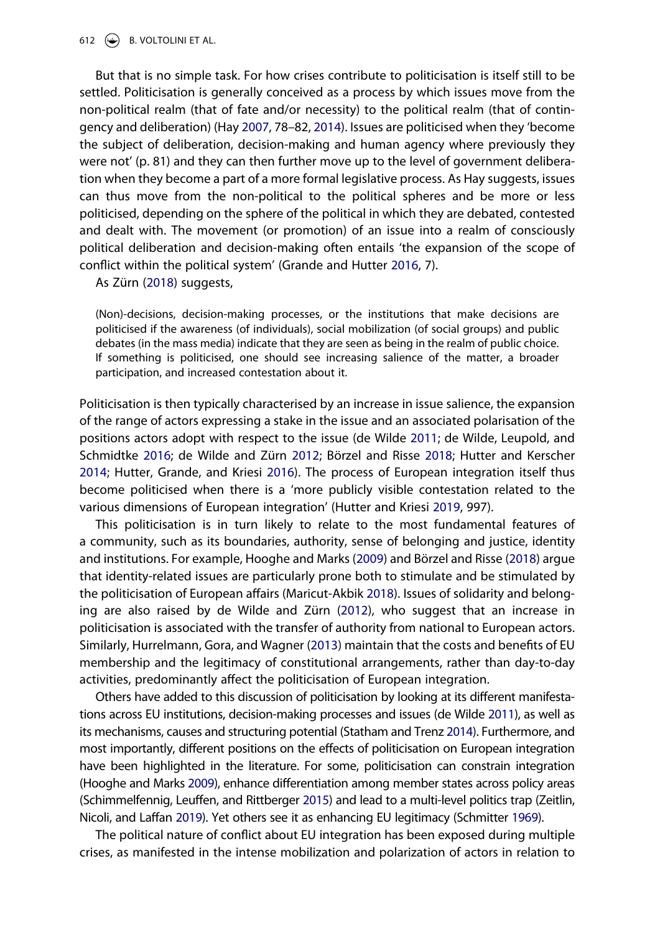<span id="page-4-4"></span>But that is no simple task. For how crises contribute to politicisation is itself still to be settled. Politicisation is generally conceived as a process by which issues move from the non-political realm (that of fate and/or necessity) to the political realm (that of contingency and deliberation) (Hay [2007,](#page-14-7) 78–82, [2014\)](#page-14-8). Issues are politicised when they 'become the subject of deliberation, decision-making and human agency where previously they were not' (p. 81) and they can then further move up to the level of government deliberation when they become a part of a more formal legislative process. As Hay suggests, issues can thus move from the non-political to the political spheres and be more or less politicised, depending on the sphere of the political in which they are debated, contested and dealt with. The movement (or promotion) of an issue into a realm of consciously political deliberation and decision-making often entails 'the expansion of the scope of conflict within the political system' (Grande and Hutter [2016](#page-14-9), 7).

<span id="page-4-3"></span>As Zürn [\(2018\)](#page-16-0) suggests,

(Non)-decisions, decision-making processes, or the institutions that make decisions are politicised if the awareness (of individuals), social mobilization (of social groups) and public debates (in the mass media) indicate that they are seen as being in the realm of public choice. If something is politicised, one should see increasing salience of the matter, a broader participation, and increased contestation about it.

<span id="page-4-1"></span>Politicisation is then typically characterised by an increase in issue salience, the expansion of the range of actors expressing a stake in the issue and an associated polarisation of the positions actors adopt with respect to the issue (de Wilde [2011;](#page-14-10) de Wilde, Leupold, and Schmidtke [2016;](#page-14-11) de Wilde and Zürn [2012;](#page-14-12) Börzel and Risse [2018;](#page-13-2) Hutter and Kerscher [2014;](#page-15-11) Hutter, Grande, and Kriesi [2016\)](#page-15-2). The process of European integration itself thus become politicised when there is a 'more publicly visible contestation related to the various dimensions of European integration' (Hutter and Kriesi [2019,](#page-15-3) 997).

<span id="page-4-6"></span><span id="page-4-2"></span>This politicisation is in turn likely to relate to the most fundamental features of a community, such as its boundaries, authority, sense of belonging and justice, identity and institutions. For example, Hooghe and Marks [\(2009\)](#page-14-0) and Börzel and Risse ([2018](#page-13-2)) argue that identity-related issues are particularly prone both to stimulate and be stimulated by the politicisation of European affairs (Maricut-Akbik [2018\)](#page-15-12). Issues of solidarity and belonging are also raised by de Wilde and Zürn ([2012](#page-14-12)), who suggest that an increase in politicisation is associated with the transfer of authority from national to European actors. Similarly, Hurrelmann, Gora, and Wagner [\(2013\)](#page-14-13) maintain that the costs and benefits of EU membership and the legitimacy of constitutional arrangements, rather than day-to-day activities, predominantly affect the politicisation of European integration.

<span id="page-4-9"></span><span id="page-4-5"></span><span id="page-4-0"></span>Others have added to this discussion of politicisation by looking at its different manifestations across EU institutions, decision-making processes and issues (de Wilde [2011\)](#page-14-10), as well as its mechanisms, causes and structuring potential (Statham and Trenz [2014](#page-16-3)). Furthermore, and most importantly, different positions on the effects of politicisation on European integration have been highlighted in the literature. For some, politicisation can constrain integration (Hooghe and Marks [2009](#page-14-0)), enhance differentiation among member states across policy areas (Schimmelfennig, Leuffen, and Rittberger [2015\)](#page-15-13) and lead to a multi-level politics trap (Zeitlin, Nicoli, and Laffan [2019](#page-16-1)). Yet others see it as enhancing EU legitimacy (Schmitter [1969](#page-16-4)).

<span id="page-4-8"></span><span id="page-4-7"></span>The political nature of conflict about EU integration has been exposed during multiple crises, as manifested in the intense mobilization and polarization of actors in relation to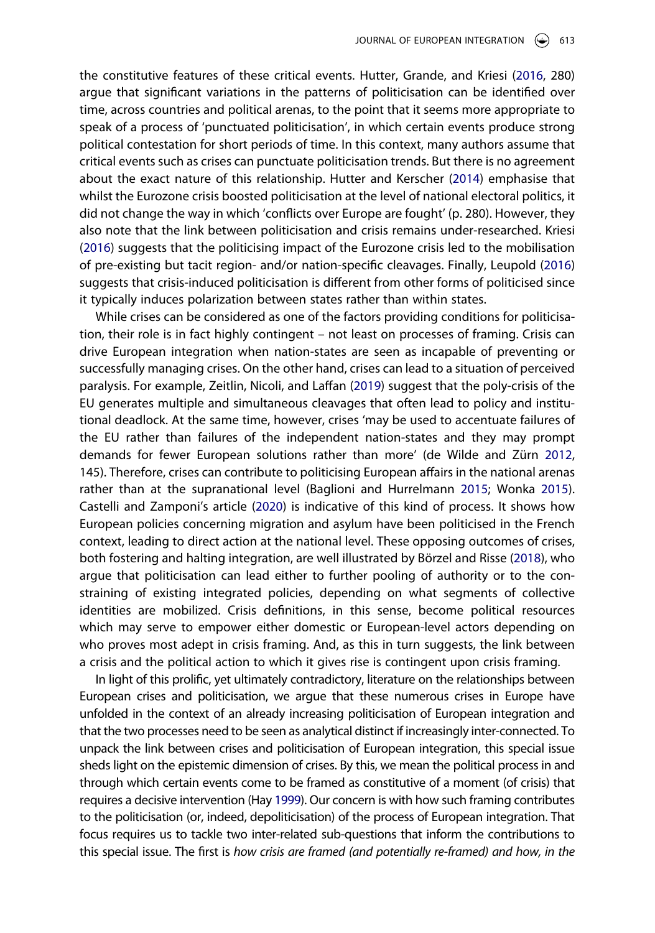the constitutive features of these critical events. Hutter, Grande, and Kriesi ([2016](#page-15-2), 280) argue that significant variations in the patterns of politicisation can be identified over time, across countries and political arenas, to the point that it seems more appropriate to speak of a process of 'punctuated politicisation', in which certain events produce strong political contestation for short periods of time. In this context, many authors assume that critical events such as crises can punctuate politicisation trends. But there is no agreement about the exact nature of this relationship. Hutter and Kerscher [\(2014\)](#page-15-11) emphasise that whilst the Eurozone crisis boosted politicisation at the level of national electoral politics, it did not change the way in which 'conflicts over Europe are fought' (p. 280). However, they also note that the link between politicisation and crisis remains under-researched. Kriesi ([2016](#page-15-14)) suggests that the politicising impact of the Eurozone crisis led to the mobilisation of pre-existing but tacit region- and/or nation-specific cleavages. Finally, Leupold ([2016](#page-15-15)) suggests that crisis-induced politicisation is different from other forms of politicised since it typically induces polarization between states rather than within states.

<span id="page-5-3"></span><span id="page-5-2"></span><span id="page-5-0"></span>While crises can be considered as one of the factors providing conditions for politicisation, their role is in fact highly contingent – not least on processes of framing. Crisis can drive European integration when nation-states are seen as incapable of preventing or successfully managing crises. On the other hand, crises can lead to a situation of perceived paralysis. For example, Zeitlin, Nicoli, and Laffan ([2019](#page-16-1)) suggest that the poly-crisis of the EU generates multiple and simultaneous cleavages that often lead to policy and institutional deadlock. At the same time, however, crises 'may be used to accentuate failures of the EU rather than failures of the independent nation-states and they may prompt demands for fewer European solutions rather than more' (de Wilde and Zürn [2012](#page-14-12), 145). Therefore, crises can contribute to politicising European affairs in the national arenas rather than at the supranational level (Baglioni and Hurrelmann [2015;](#page-13-3) Wonka [2015](#page-16-5)). Castelli and Zamponi's article ([2020](#page-14-1)) is indicative of this kind of process. It shows how European policies concerning migration and asylum have been politicised in the French context, leading to direct action at the national level. These opposing outcomes of crises, both fostering and halting integration, are well illustrated by Börzel and Risse [\(2018\)](#page-13-2), who argue that politicisation can lead either to further pooling of authority or to the constraining of existing integrated policies, depending on what segments of collective identities are mobilized. Crisis definitions, in this sense, become political resources which may serve to empower either domestic or European-level actors depending on who proves most adept in crisis framing. And, as this in turn suggests, the link between a crisis and the political action to which it gives rise is contingent upon crisis framing.

<span id="page-5-1"></span>In light of this prolific, yet ultimately contradictory, literature on the relationships between European crises and politicisation, we argue that these numerous crises in Europe have unfolded in the context of an already increasing politicisation of European integration and that the two processes need to be seen as analytical distinct if increasingly inter-connected. To unpack the link between crises and politicisation of European integration, this special issue sheds light on the epistemic dimension of crises. By this, we mean the political process in and through which certain events come to be framed as constitutive of a moment (of crisis) that requires a decisive intervention (Hay [1999\)](#page-14-14). Our concern is with how such framing contributes to the politicisation (or, indeed, depoliticisation) of the process of European integration. That focus requires us to tackle two inter-related sub-questions that inform the contributions to this special issue. The first is *how crisis are framed (and potentially re-framed) and how, in the*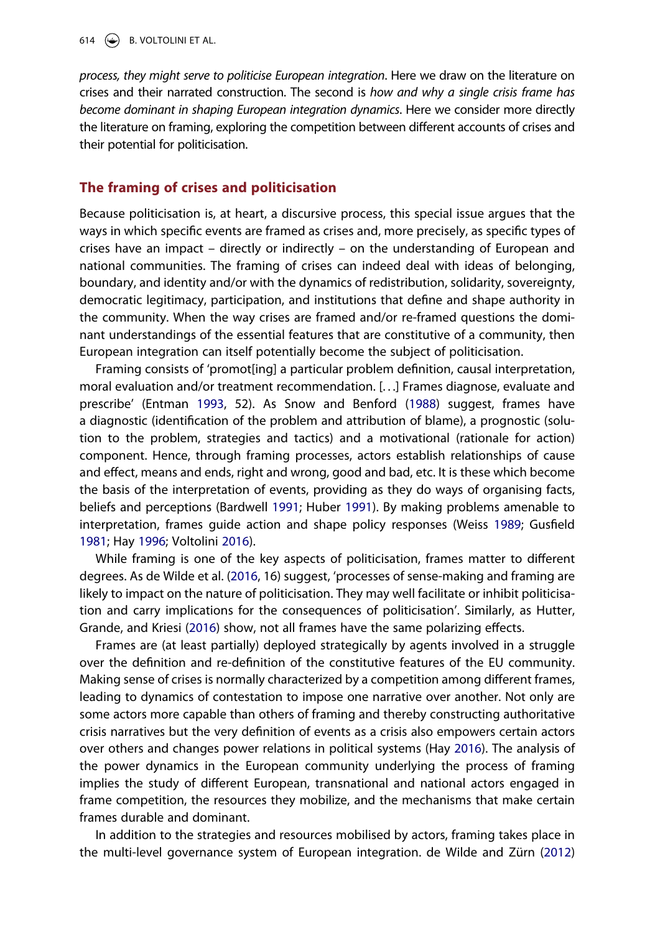*process, they might serve to politicise European integration*. Here we draw on the literature on crises and their narrated construction. The second is *how and why a single crisis frame has become dominant in shaping European integration dynamics*. Here we consider more directly the literature on framing, exploring the competition between different accounts of crises and their potential for politicisation.

## **The framing of crises and politicisation**

Because politicisation is, at heart, a discursive process, this special issue argues that the ways in which specific events are framed as crises and, more precisely, as specific types of crises have an impact – directly or indirectly – on the understanding of European and national communities. The framing of crises can indeed deal with ideas of belonging, boundary, and identity and/or with the dynamics of redistribution, solidarity, sovereignty, democratic legitimacy, participation, and institutions that define and shape authority in the community. When the way crises are framed and/or re-framed questions the dominant understandings of the essential features that are constitutive of a community, then European integration can itself potentially become the subject of politicisation.

<span id="page-6-1"></span>Framing consists of 'promot[ing] a particular problem definition, causal interpretation, moral evaluation and/or treatment recommendation. [. . .] Frames diagnose, evaluate and prescribe' (Entman [1993,](#page-14-15) 52). As Snow and Benford [\(1988\)](#page-16-6) suggest, frames have a diagnostic (identification of the problem and attribution of blame), a prognostic (solution to the problem, strategies and tactics) and a motivational (rationale for action) component. Hence, through framing processes, actors establish relationships of cause and effect, means and ends, right and wrong, good and bad, etc. It is these which become the basis of the interpretation of events, providing as they do ways of organising facts, beliefs and perceptions (Bardwell [1991;](#page-13-4) Huber [1991\)](#page-14-16). By making problems amenable to interpretation, frames guide action and shape policy responses (Weiss [1989;](#page-16-7) Gusfield [1981;](#page-14-17) Hay [1996;](#page-14-18) Voltolini [2016\)](#page-16-8).

<span id="page-6-3"></span><span id="page-6-2"></span><span id="page-6-0"></span>While framing is one of the key aspects of politicisation, frames matter to different degrees. As de Wilde et al. ([2016](#page-14-11), 16) suggest, 'processes of sense-making and framing are likely to impact on the nature of politicisation. They may well facilitate or inhibit politicisation and carry implications for the consequences of politicisation'. Similarly, as Hutter, Grande, and Kriesi [\(2016\)](#page-15-2) show, not all frames have the same polarizing effects.

<span id="page-6-4"></span>Frames are (at least partially) deployed strategically by agents involved in a struggle over the definition and re-definition of the constitutive features of the EU community. Making sense of crises is normally characterized by a competition among different frames, leading to dynamics of contestation to impose one narrative over another. Not only are some actors more capable than others of framing and thereby constructing authoritative crisis narratives but the very definition of events as a crisis also empowers certain actors over others and changes power relations in political systems (Hay [2016\)](#page-14-19). The analysis of the power dynamics in the European community underlying the process of framing implies the study of different European, transnational and national actors engaged in frame competition, the resources they mobilize, and the mechanisms that make certain frames durable and dominant.

In addition to the strategies and resources mobilised by actors, framing takes place in the multi-level governance system of European integration. de Wilde and Zürn ([2012](#page-14-12))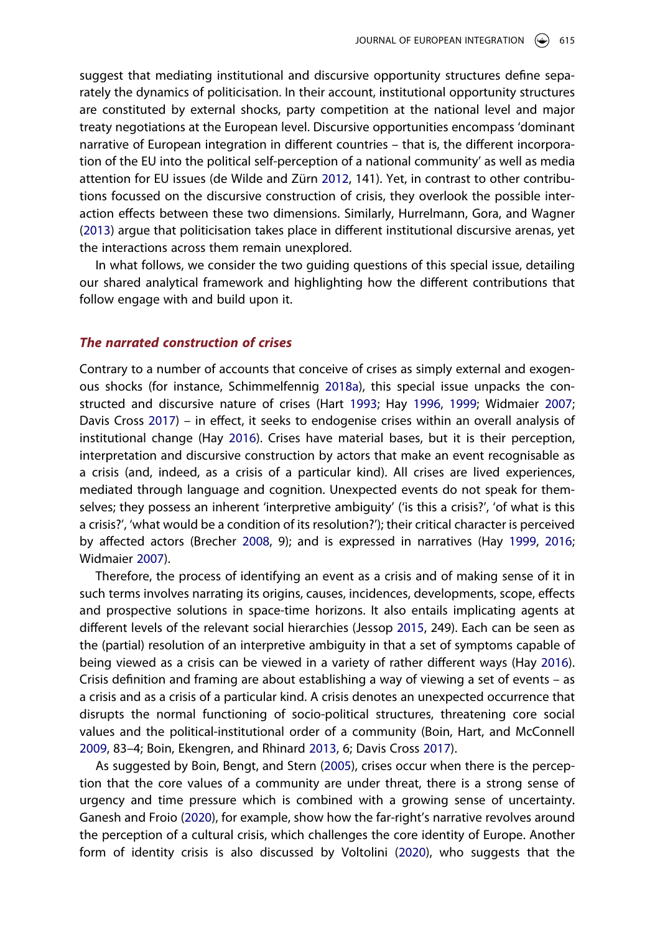suggest that mediating institutional and discursive opportunity structures define separately the dynamics of politicisation. In their account, institutional opportunity structures are constituted by external shocks, party competition at the national level and major treaty negotiations at the European level. Discursive opportunities encompass 'dominant narrative of European integration in different countries – that is, the different incorporation of the EU into the political self-perception of a national community' as well as media attention for EU issues (de Wilde and Zürn [2012,](#page-14-12) 141). Yet, in contrast to other contributions focussed on the discursive construction of crisis, they overlook the possible interaction effects between these two dimensions. Similarly, Hurrelmann, Gora, and Wagner ([2013](#page-14-13)) argue that politicisation takes place in different institutional discursive arenas, yet the interactions across them remain unexplored.

In what follows, we consider the two guiding questions of this special issue, detailing our shared analytical framework and highlighting how the different contributions that follow engage with and build upon it.

#### *The narrated construction of crises*

<span id="page-7-6"></span><span id="page-7-4"></span>Contrary to a number of accounts that conceive of crises as simply external and exogenous shocks (for instance, Schimmelfennig [2018a](#page-15-16)), this special issue unpacks the constructed and discursive nature of crises (Hart [1993](#page-14-20); Hay [1996,](#page-14-18) [1999](#page-14-14); Widmaier [2007](#page-16-9); Davis Cross [2017](#page-14-21)) – in effect, it seeks to endogenise crises within an overall analysis of institutional change (Hay [2016\)](#page-14-19). Crises have material bases, but it is their perception, interpretation and discursive construction by actors that make an event recognisable as a crisis (and, indeed, as a crisis of a particular kind). All crises are lived experiences, mediated through language and cognition. Unexpected events do not speak for themselves; they possess an inherent 'interpretive ambiguity' ('is this a crisis?', 'of what is this a crisis?', 'what would be a condition of its resolution?'); their critical character is perceived by affected actors (Brecher [2008](#page-13-5), 9); and is expressed in narratives (Hay [1999](#page-14-14), [2016](#page-14-19); Widmaier [2007\)](#page-16-9).

<span id="page-7-7"></span><span id="page-7-5"></span><span id="page-7-3"></span>Therefore, the process of identifying an event as a crisis and of making sense of it in such terms involves narrating its origins, causes, incidences, developments, scope, effects and prospective solutions in space-time horizons. It also entails implicating agents at different levels of the relevant social hierarchies (Jessop [2015,](#page-15-17) 249). Each can be seen as the (partial) resolution of an interpretive ambiguity in that a set of symptoms capable of being viewed as a crisis can be viewed in a variety of rather different ways (Hay [2016](#page-14-19)). Crisis definition and framing are about establishing a way of viewing a set of events – as a crisis and as a crisis of a particular kind. A crisis denotes an unexpected occurrence that disrupts the normal functioning of socio-political structures, threatening core social values and the political-institutional order of a community (Boin, Hart, and McConnell [2009,](#page-13-6) 83–4; Boin, Ekengren, and Rhinard [2013](#page-13-7), 6; Davis Cross [2017\)](#page-14-21).

<span id="page-7-2"></span><span id="page-7-1"></span><span id="page-7-0"></span>As suggested by Boin, Bengt, and Stern [\(2005\)](#page-13-8), crises occur when there is the perception that the core values of a community are under threat, there is a strong sense of urgency and time pressure which is combined with a growing sense of uncertainty. Ganesh and Froio [\(2020\)](#page-14-4), for example, show how the far-right's narrative revolves around the perception of a cultural crisis, which challenges the core identity of Europe. Another form of identity crisis is also discussed by Voltolini [\(2020\)](#page-16-2), who suggests that the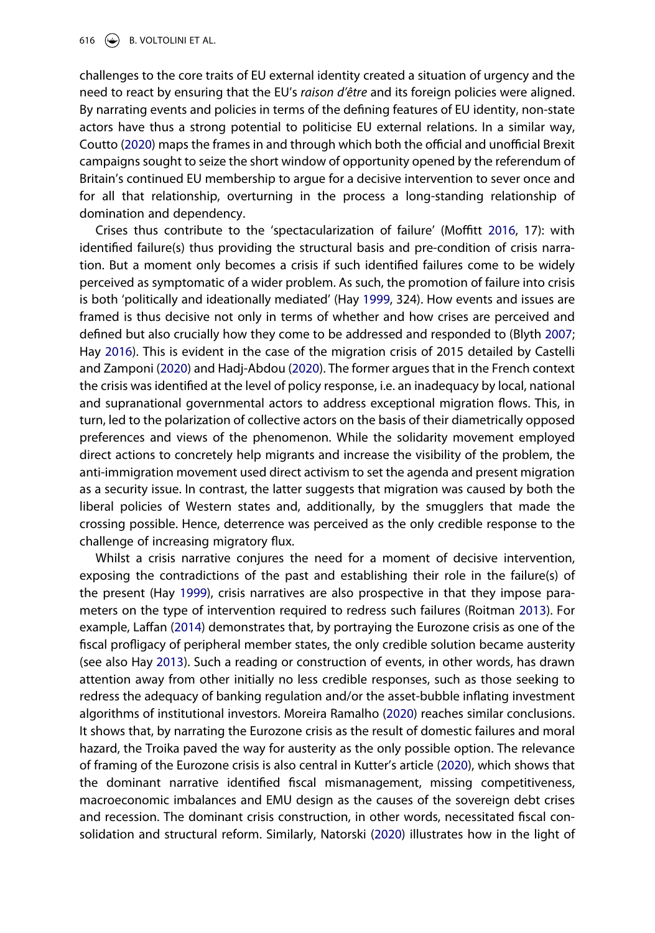challenges to the core traits of EU external identity created a situation of urgency and the need to react by ensuring that the EU's *raison d'être* and its foreign policies were aligned. By narrating events and policies in terms of the defining features of EU identity, non-state actors have thus a strong potential to politicise EU external relations. In a similar way, Coutto ([2020](#page-14-3)) maps the frames in and through which both the official and unofficial Brexit campaigns sought to seize the short window of opportunity opened by the referendum of Britain's continued EU membership to argue for a decisive intervention to sever once and for all that relationship, overturning in the process a long-standing relationship of domination and dependency.

<span id="page-8-3"></span><span id="page-8-0"></span>Crises thus contribute to the 'spectacularization of failure' (Moffitt [2016](#page-15-18), 17): with identified failure(s) thus providing the structural basis and pre-condition of crisis narration. But a moment only becomes a crisis if such identified failures come to be widely perceived as symptomatic of a wider problem. As such, the promotion of failure into crisis is both 'politically and ideationally mediated' (Hay [1999,](#page-14-14) 324). How events and issues are framed is thus decisive not only in terms of whether and how crises are perceived and defined but also crucially how they come to be addressed and responded to (Blyth [2007](#page-13-9); Hay [2016\)](#page-14-19). This is evident in the case of the migration crisis of 2015 detailed by Castelli and Zamponi ([2020](#page-14-1)) and Hadj-Abdou [\(2020\)](#page-14-2). The former argues that in the French context the crisis was identified at the level of policy response, i.e. an inadequacy by local, national and supranational governmental actors to address exceptional migration flows. This, in turn, led to the polarization of collective actors on the basis of their diametrically opposed preferences and views of the phenomenon. While the solidarity movement employed direct actions to concretely help migrants and increase the visibility of the problem, the anti-immigration movement used direct activism to set the agenda and present migration as a security issue. In contrast, the latter suggests that migration was caused by both the liberal policies of Western states and, additionally, by the smugglers that made the crossing possible. Hence, deterrence was perceived as the only credible response to the challenge of increasing migratory flux.

<span id="page-8-4"></span><span id="page-8-2"></span><span id="page-8-1"></span>Whilst a crisis narrative conjures the need for a moment of decisive intervention, exposing the contradictions of the past and establishing their role in the failure(s) of the present (Hay [1999\)](#page-14-14), crisis narratives are also prospective in that they impose parameters on the type of intervention required to redress such failures (Roitman [2013\)](#page-15-19). For example, Laffan [\(2014\)](#page-15-20) demonstrates that, by portraying the Eurozone crisis as one of the fiscal profligacy of peripheral member states, the only credible solution became austerity (see also Hay [2013](#page-14-22)). Such a reading or construction of events, in other words, has drawn attention away from other initially no less credible responses, such as those seeking to redress the adequacy of banking regulation and/or the asset-bubble inflating investment algorithms of institutional investors. Moreira Ramalho [\(2020\)](#page-15-5) reaches similar conclusions. It shows that, by narrating the Eurozone crisis as the result of domestic failures and moral hazard, the Troika paved the way for austerity as the only possible option. The relevance of framing of the Eurozone crisis is also central in Kutter's article ([2020\)](#page-15-4), which shows that the dominant narrative identified fiscal mismanagement, missing competitiveness, macroeconomic imbalances and EMU design as the causes of the sovereign debt crises and recession. The dominant crisis construction, in other words, necessitated fiscal consolidation and structural reform. Similarly, Natorski [\(2020\)](#page-15-6) illustrates how in the light of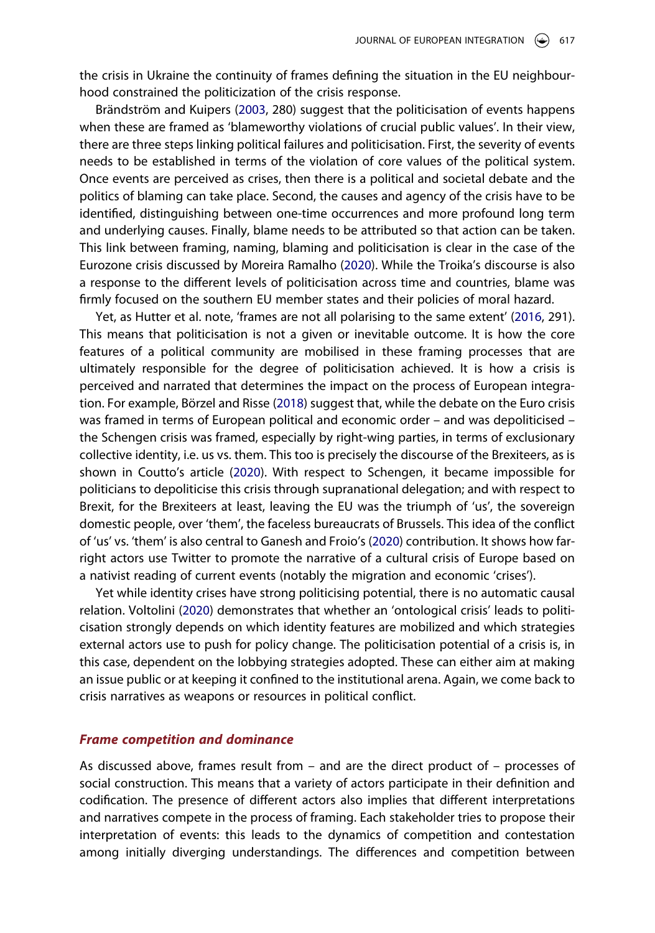the crisis in Ukraine the continuity of frames defining the situation in the EU neighbourhood constrained the politicization of the crisis response.

<span id="page-9-0"></span>Brändström and Kuipers ([2003](#page-13-10), 280) suggest that the politicisation of events happens when these are framed as 'blameworthy violations of crucial public values'. In their view, there are three steps linking political failures and politicisation. First, the severity of events needs to be established in terms of the violation of core values of the political system. Once events are perceived as crises, then there is a political and societal debate and the politics of blaming can take place. Second, the causes and agency of the crisis have to be identified, distinguishing between one-time occurrences and more profound long term and underlying causes. Finally, blame needs to be attributed so that action can be taken. This link between framing, naming, blaming and politicisation is clear in the case of the Eurozone crisis discussed by Moreira Ramalho [\(2020\)](#page-15-5). While the Troika's discourse is also a response to the different levels of politicisation across time and countries, blame was firmly focused on the southern EU member states and their policies of moral hazard.

Yet, as Hutter et al. note, 'frames are not all polarising to the same extent' ([2016](#page-15-2), 291). This means that politicisation is not a given or inevitable outcome. It is how the core features of a political community are mobilised in these framing processes that are ultimately responsible for the degree of politicisation achieved. It is how a crisis is perceived and narrated that determines the impact on the process of European integration. For example, Börzel and Risse [\(2018\)](#page-13-2) suggest that, while the debate on the Euro crisis was framed in terms of European political and economic order – and was depoliticised – the Schengen crisis was framed, especially by right-wing parties, in terms of exclusionary collective identity, i.e. us vs. them. This too is precisely the discourse of the Brexiteers, as is shown in Coutto's article ([2020](#page-14-3)). With respect to Schengen, it became impossible for politicians to depoliticise this crisis through supranational delegation; and with respect to Brexit, for the Brexiteers at least, leaving the EU was the triumph of 'us', the sovereign domestic people, over 'them', the faceless bureaucrats of Brussels. This idea of the conflict of 'us' vs. 'them' is also central to Ganesh and Froio's [\(2020\)](#page-14-4) contribution. It shows how farright actors use Twitter to promote the narrative of a cultural crisis of Europe based on a nativist reading of current events (notably the migration and economic 'crises').

Yet while identity crises have strong politicising potential, there is no automatic causal relation. Voltolini [\(2020](#page-16-2)) demonstrates that whether an 'ontological crisis' leads to politicisation strongly depends on which identity features are mobilized and which strategies external actors use to push for policy change. The politicisation potential of a crisis is, in this case, dependent on the lobbying strategies adopted. These can either aim at making an issue public or at keeping it confined to the institutional arena. Again, we come back to crisis narratives as weapons or resources in political conflict.

#### *Frame competition and dominance*

As discussed above, frames result from – and are the direct product of – processes of social construction. This means that a variety of actors participate in their definition and codification. The presence of different actors also implies that different interpretations and narratives compete in the process of framing. Each stakeholder tries to propose their interpretation of events: this leads to the dynamics of competition and contestation among initially diverging understandings. The differences and competition between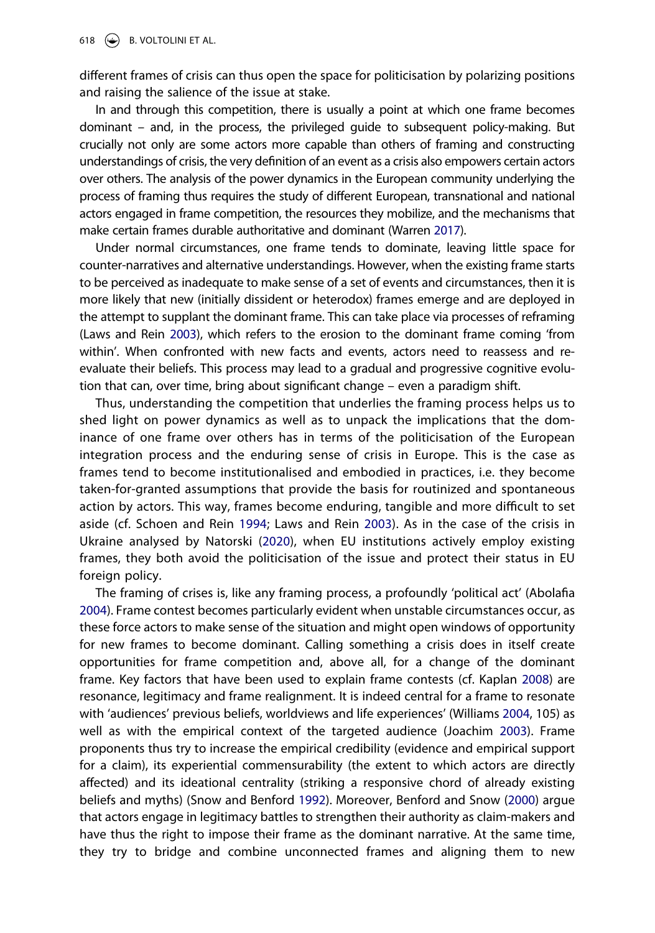different frames of crisis can thus open the space for politicisation by polarizing positions and raising the salience of the issue at stake.

In and through this competition, there is usually a point at which one frame becomes dominant – and, in the process, the privileged guide to subsequent policy-making. But crucially not only are some actors more capable than others of framing and constructing understandings of crisis, the very definition of an event as a crisis also empowers certain actors over others. The analysis of the power dynamics in the European community underlying the process of framing thus requires the study of different European, transnational and national actors engaged in frame competition, the resources they mobilize, and the mechanisms that make certain frames durable authoritative and dominant (Warren [2017\)](#page-16-10).

<span id="page-10-5"></span>Under normal circumstances, one frame tends to dominate, leaving little space for counter-narratives and alternative understandings. However, when the existing frame starts to be perceived as inadequate to make sense of a set of events and circumstances, then it is more likely that new (initially dissident or heterodox) frames emerge and are deployed in the attempt to supplant the dominant frame. This can take place via processes of reframing (Laws and Rein [2003](#page-15-21)), which refers to the erosion to the dominant frame coming 'from within'. When confronted with new facts and events, actors need to reassess and reevaluate their beliefs. This process may lead to a gradual and progressive cognitive evolution that can, over time, bring about significant change – even a paradigm shift.

Thus, understanding the competition that underlies the framing process helps us to shed light on power dynamics as well as to unpack the implications that the dominance of one frame over others has in terms of the politicisation of the European integration process and the enduring sense of crisis in Europe. This is the case as frames tend to become institutionalised and embodied in practices, i.e. they become taken-for-granted assumptions that provide the basis for routinized and spontaneous action by actors. This way, frames become enduring, tangible and more difficult to set aside (cf. Schoen and Rein [1994](#page-16-11); Laws and Rein [2003](#page-15-21)). As in the case of the crisis in Ukraine analysed by Natorski ([2020\)](#page-15-6), when EU institutions actively employ existing frames, they both avoid the politicisation of the issue and protect their status in EU foreign policy.

<span id="page-10-6"></span><span id="page-10-4"></span><span id="page-10-3"></span><span id="page-10-2"></span><span id="page-10-1"></span><span id="page-10-0"></span>The framing of crises is, like any framing process, a profoundly 'political act' (Abolafia [2004\)](#page-13-11). Frame contest becomes particularly evident when unstable circumstances occur, as these force actors to make sense of the situation and might open windows of opportunity for new frames to become dominant. Calling something a crisis does in itself create opportunities for frame competition and, above all, for a change of the dominant frame. Key factors that have been used to explain frame contests (cf. Kaplan [2008\)](#page-15-22) are resonance, legitimacy and frame realignment. It is indeed central for a frame to resonate with 'audiences' previous beliefs, worldviews and life experiences' (Williams [2004](#page-16-12), 105) as well as with the empirical context of the targeted audience (Joachim [2003](#page-15-23)). Frame proponents thus try to increase the empirical credibility (evidence and empirical support for a claim), its experiential commensurability (the extent to which actors are directly affected) and its ideational centrality (striking a responsive chord of already existing beliefs and myths) (Snow and Benford [1992](#page-16-13)). Moreover, Benford and Snow ([2000](#page-13-12)) argue that actors engage in legitimacy battles to strengthen their authority as claim-makers and have thus the right to impose their frame as the dominant narrative. At the same time, they try to bridge and combine unconnected frames and aligning them to new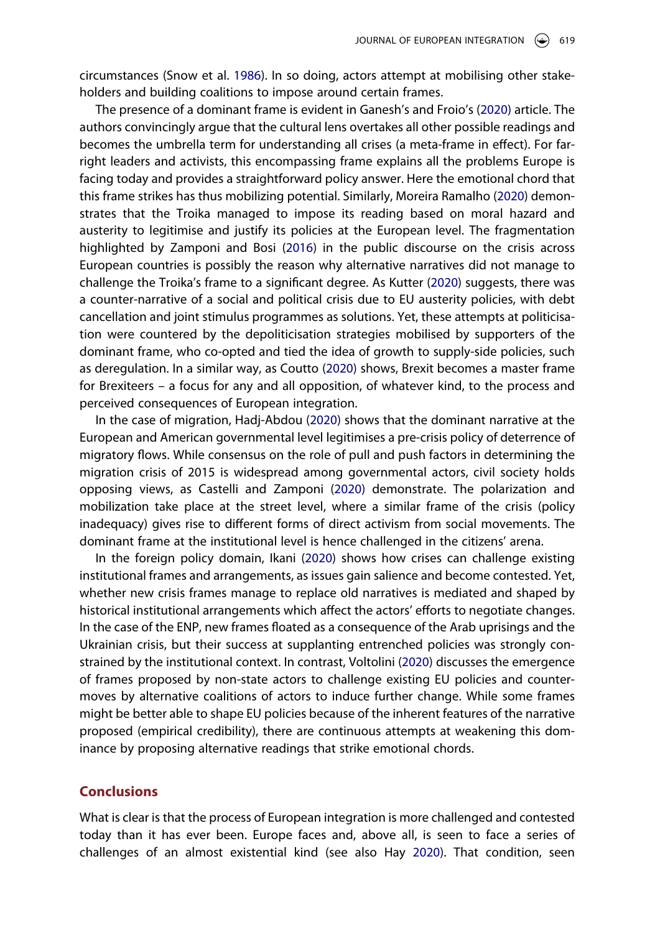<span id="page-11-1"></span>circumstances (Snow et al. [1986\)](#page-16-14). In so doing, actors attempt at mobilising other stakeholders and building coalitions to impose around certain frames.

<span id="page-11-2"></span>The presence of a dominant frame is evident in Ganesh's and Froio's ([2020](#page-14-4)) article. The authors convincingly argue that the cultural lens overtakes all other possible readings and becomes the umbrella term for understanding all crises (a meta-frame in effect). For farright leaders and activists, this encompassing frame explains all the problems Europe is facing today and provides a straightforward policy answer. Here the emotional chord that this frame strikes has thus mobilizing potential. Similarly, Moreira Ramalho ([2020](#page-15-5)) demonstrates that the Troika managed to impose its reading based on moral hazard and austerity to legitimise and justify its policies at the European level. The fragmentation highlighted by Zamponi and Bosi [\(2016\)](#page-16-15) in the public discourse on the crisis across European countries is possibly the reason why alternative narratives did not manage to challenge the Troika's frame to a significant degree. As Kutter ([2020](#page-15-4)) suggests, there was a counter-narrative of a social and political crisis due to EU austerity policies, with debt cancellation and joint stimulus programmes as solutions. Yet, these attempts at politicisation were countered by the depoliticisation strategies mobilised by supporters of the dominant frame, who co-opted and tied the idea of growth to supply-side policies, such as deregulation. In a similar way, as Coutto ([2020](#page-14-3)) shows, Brexit becomes a master frame for Brexiteers – a focus for any and all opposition, of whatever kind, to the process and perceived consequences of European integration.

In the case of migration, Hadj-Abdou ([2020](#page-14-2)) shows that the dominant narrative at the European and American governmental level legitimises a pre-crisis policy of deterrence of migratory flows. While consensus on the role of pull and push factors in determining the migration crisis of 2015 is widespread among governmental actors, civil society holds opposing views, as Castelli and Zamponi ([2020](#page-14-1)) demonstrate. The polarization and mobilization take place at the street level, where a similar frame of the crisis (policy inadequacy) gives rise to different forms of direct activism from social movements. The dominant frame at the institutional level is hence challenged in the citizens' arena.

In the foreign policy domain, Ikani ([2020](#page-15-7)) shows how crises can challenge existing institutional frames and arrangements, as issues gain salience and become contested. Yet, whether new crisis frames manage to replace old narratives is mediated and shaped by historical institutional arrangements which affect the actors' efforts to negotiate changes. In the case of the ENP, new frames floated as a consequence of the Arab uprisings and the Ukrainian crisis, but their success at supplanting entrenched policies was strongly constrained by the institutional context. In contrast, Voltolini ([2020](#page-16-2)) discusses the emergence of frames proposed by non-state actors to challenge existing EU policies and countermoves by alternative coalitions of actors to induce further change. While some frames might be better able to shape EU policies because of the inherent features of the narrative proposed (empirical credibility), there are continuous attempts at weakening this dominance by proposing alternative readings that strike emotional chords.

## **Conclusions**

<span id="page-11-0"></span>What is clear is that the process of European integration is more challenged and contested today than it has ever been. Europe faces and, above all, is seen to face a series of challenges of an almost existential kind (see also Hay [2020\)](#page-14-23). That condition, seen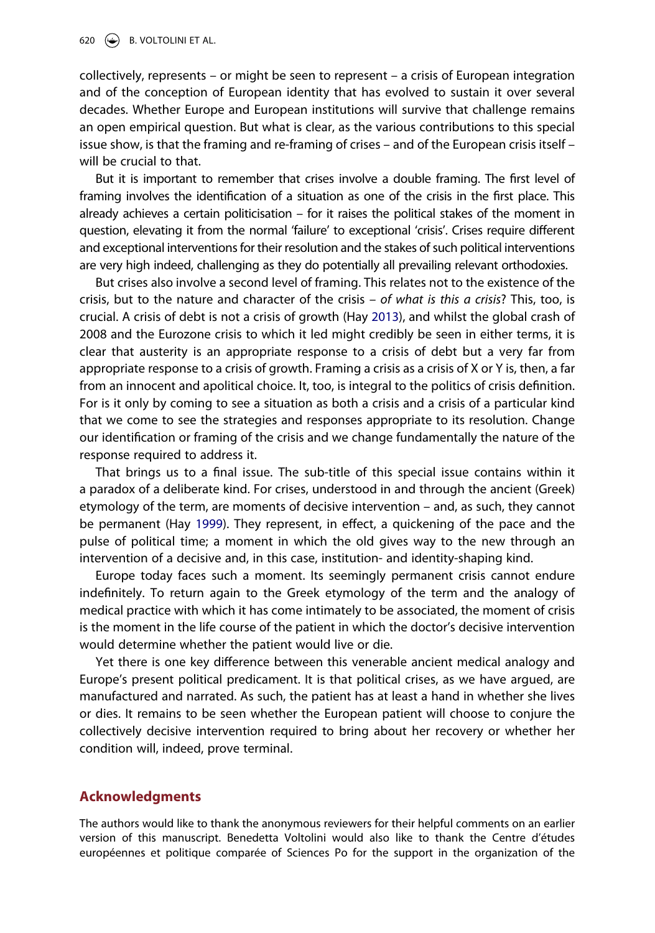collectively, represents – or might be seen to represent – a crisis of European integration and of the conception of European identity that has evolved to sustain it over several decades. Whether Europe and European institutions will survive that challenge remains an open empirical question. But what is clear, as the various contributions to this special issue show, is that the framing and re-framing of crises – and of the European crisis itself – will be crucial to that.

But it is important to remember that crises involve a double framing. The first level of framing involves the identification of a situation as one of the crisis in the first place. This already achieves a certain politicisation – for it raises the political stakes of the moment in question, elevating it from the normal 'failure' to exceptional 'crisis'. Crises require different and exceptional interventions for their resolution and the stakes of such political interventions are very high indeed, challenging as they do potentially all prevailing relevant orthodoxies.

But crises also involve a second level of framing. This relates not to the existence of the crisis, but to the nature and character of the crisis – *of what is this a crisis*? This, too, is crucial. A crisis of debt is not a crisis of growth (Hay [2013\)](#page-14-22), and whilst the global crash of 2008 and the Eurozone crisis to which it led might credibly be seen in either terms, it is clear that austerity is an appropriate response to a crisis of debt but a very far from appropriate response to a crisis of growth. Framing a crisis as a crisis of X or Y is, then, a far from an innocent and apolitical choice. It, too, is integral to the politics of crisis definition. For is it only by coming to see a situation as both a crisis and a crisis of a particular kind that we come to see the strategies and responses appropriate to its resolution. Change our identification or framing of the crisis and we change fundamentally the nature of the response required to address it.

That brings us to a final issue. The sub-title of this special issue contains within it a paradox of a deliberate kind. For crises, understood in and through the ancient (Greek) etymology of the term, are moments of decisive intervention – and, as such, they cannot be permanent (Hay [1999\)](#page-14-14). They represent, in effect, a quickening of the pace and the pulse of political time; a moment in which the old gives way to the new through an intervention of a decisive and, in this case, institution- and identity-shaping kind.

Europe today faces such a moment. Its seemingly permanent crisis cannot endure indefinitely. To return again to the Greek etymology of the term and the analogy of medical practice with which it has come intimately to be associated, the moment of crisis is the moment in the life course of the patient in which the doctor's decisive intervention would determine whether the patient would live or die.

Yet there is one key difference between this venerable ancient medical analogy and Europe's present political predicament. It is that political crises, as we have argued, are manufactured and narrated. As such, the patient has at least a hand in whether she lives or dies. It remains to be seen whether the European patient will choose to conjure the collectively decisive intervention required to bring about her recovery or whether her condition will, indeed, prove terminal.

## **Acknowledgments**

The authors would like to thank the anonymous reviewers for their helpful comments on an earlier version of this manuscript. Benedetta Voltolini would also like to thank the Centre d'études européennes et politique comparée of Sciences Po for the support in the organization of the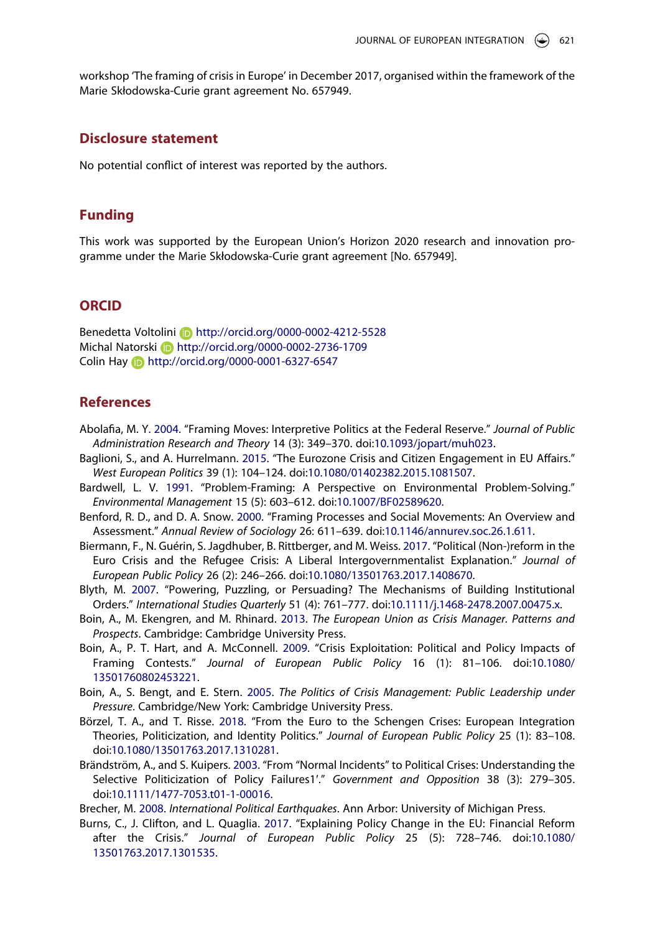workshop 'The framing of crisis in Europe' in December 2017, organised within the framework of the Marie Skłodowska-Curie grant agreement No. 657949.

#### **Disclosure statement**

No potential conflict of interest was reported by the authors.

#### **Funding**

This work was supported by the European Union's Horizon 2020 research and innovation programme under the Marie Skłodowska-Curie grant agreement [No. 657949].

#### **ORCID**

Benedetta Voltolini **b** http://orcid.org/0000-0002-4212-5528 Michal Natorski **http://orcid.org/0000-0002-2736-1709** Colin Hay http://orcid.org/0000-0001-6327-6547

#### **References**

- <span id="page-13-11"></span>Abolafia, M. Y. [2004.](#page-10-0) "Framing Moves: Interpretive Politics at the Federal Reserve." *Journal of Public Administration Research and Theory* 14 (3): 349–370. doi:[10.1093/jopart/muh023.](https://doi.org/10.1093/jopart/muh023)
- <span id="page-13-3"></span>Baglioni, S., and A. Hurrelmann. [2015.](#page-5-0) "The Eurozone Crisis and Citizen Engagement in EU Affairs." *West European Politics* 39 (1): 104–124. doi:[10.1080/01402382.2015.1081507](https://doi.org/10.1080/01402382.2015.1081507).
- <span id="page-13-4"></span>Bardwell, L. V. [1991](#page-6-0). "Problem-Framing: A Perspective on Environmental Problem-Solving." *Environmental Management* 15 (5): 603–612. doi:[10.1007/BF02589620.](https://doi.org/10.1007/BF02589620)
- <span id="page-13-12"></span>Benford, R. D., and D. A. Snow. [2000.](#page-10-1) "Framing Processes and Social Movements: An Overview and Assessment." *Annual Review of Sociology* 26: 611–639. doi:[10.1146/annurev.soc.26.1.611](https://doi.org/10.1146/annurev.soc.26.1.611).
- <span id="page-13-1"></span>Biermann, F., N. Guérin, S. Jagdhuber, B. Rittberger, and M. Weiss. [2017](#page-3-0). "Political (Non-)reform in the Euro Crisis and the Refugee Crisis: A Liberal Intergovernmentalist Explanation." *Journal of European Public Policy* 26 (2): 246–266. doi:[10.1080/13501763.2017.1408670](https://doi.org/10.1080/13501763.2017.1408670).
- <span id="page-13-9"></span>Blyth, M. [2007.](#page-8-0) "Powering, Puzzling, or Persuading? The Mechanisms of Building Institutional Orders." *International Studies Quarterly* 51 (4): 761–777. doi:[10.1111/j.1468-2478.2007.00475.x.](https://doi.org/10.1111/j.1468-2478.2007.00475.x)
- <span id="page-13-7"></span>Boin, A., M. Ekengren, and M. Rhinard. [2013](#page-7-0). *The European Union as Crisis Manager. Patterns and Prospects*. Cambridge: Cambridge University Press.
- <span id="page-13-6"></span>Boin, A., P. T. Hart, and A. McConnell. [2009.](#page-7-1) "Crisis Exploitation: Political and Policy Impacts of Framing Contests." *Journal of European Public Policy* 16 (1): 81–106. doi:[10.1080/](https://doi.org/10.1080/13501760802453221) [13501760802453221](https://doi.org/10.1080/13501760802453221).
- <span id="page-13-8"></span>Boin, A., S. Bengt, and E. Stern. [2005.](#page-7-2) *The Politics of Crisis Management: Public Leadership under Pressure*. Cambridge/New York: Cambridge University Press.
- <span id="page-13-2"></span>Börzel, T. A., and T. Risse. [2018.](#page-3-1) "From the Euro to the Schengen Crises: European Integration Theories, Politicization, and Identity Politics." *Journal of European Public Policy* 25 (1): 83–108. doi:[10.1080/13501763.2017.1310281](https://doi.org/10.1080/13501763.2017.1310281).
- <span id="page-13-10"></span>Brändström, A., and S. Kuipers. [2003](#page-9-0). "From "Normal Incidents" to Political Crises: Understanding the Selective Politicization of Policy Failures1ʹ." *Government and Opposition* 38 (3): 279–305. doi:[10.1111/1477-7053.t01-1-00016.](https://doi.org/10.1111/1477-7053.t01-1-00016)

<span id="page-13-5"></span>Brecher, M. [2008](#page-7-3). *International Political Earthquakes*. Ann Arbor: University of Michigan Press.

<span id="page-13-0"></span>Burns, C., J. Clifton, and L. Quaglia. [2017.](#page-3-0) "Explaining Policy Change in the EU: Financial Reform after the Crisis." *Journal of European Public Policy* 25 (5): 728–746. doi:[10.1080/](https://doi.org/10.1080/13501763.2017.1301535) [13501763.2017.1301535](https://doi.org/10.1080/13501763.2017.1301535).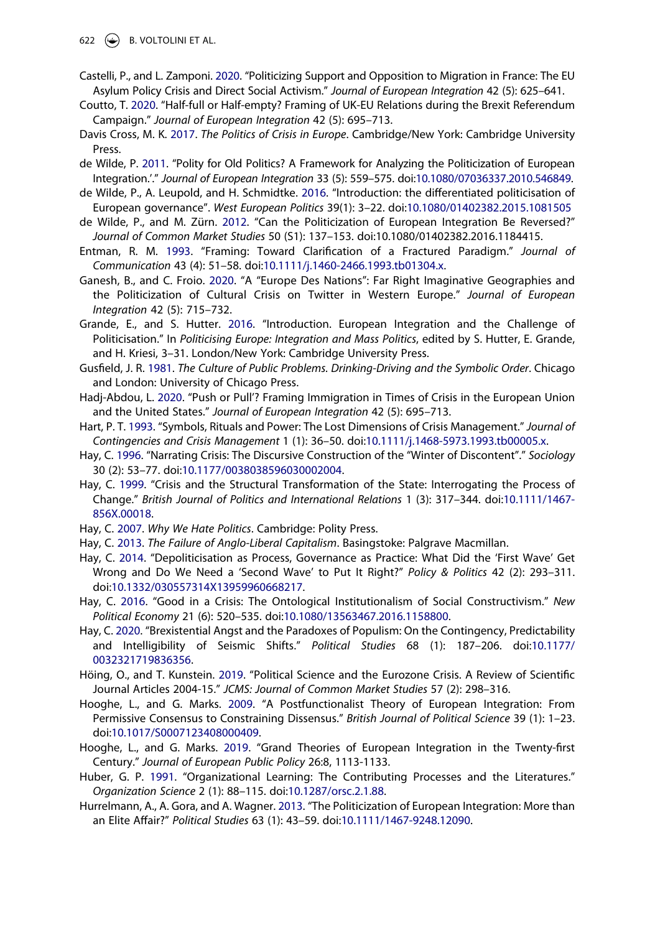622  $\left(\frac{1}{2}\right)$  B. VOLTOLINI ET AL.

- <span id="page-14-1"></span>Castelli, P., and L. Zamponi. [2020](#page-2-0). "Politicizing Support and Opposition to Migration in France: The EU Asylum Policy Crisis and Direct Social Activism." *Journal of European Integration* 42 (5): 625–641.
- <span id="page-14-3"></span>Coutto, T. [2020](#page-2-1). "Half-full or Half-empty? Framing of UK-EU Relations during the Brexit Referendum Campaign." *Journal of European Integration* 42 (5): 695–713.
- <span id="page-14-21"></span>Davis Cross, M. K. [2017.](#page-7-0) *The Politics of Crisis in Europe*. Cambridge/New York: Cambridge University Press.
- <span id="page-14-10"></span>de Wilde, P. [2011](#page-4-0). "Polity for Old Politics? A Framework for Analyzing the Politicization of European Integration.'." *Journal of European Integration* 33 (5): 559–575. doi:[10.1080/07036337.2010.546849](https://doi.org/10.1080/07036337.2010.546849).
- <span id="page-14-11"></span>de Wilde, P., A. Leupold, and H. Schmidtke. [2016.](#page-4-1) "Introduction: the differentiated politicisation of European governance". *West European Politics* 39(1): 3–22. doi:[10.1080/01402382.2015.1081505](https://doi.org/10.1080/01402382.2015.1081505)
- <span id="page-14-12"></span>de Wilde, P., and M. Zürn. [2012.](#page-4-2) "Can the Politicization of European Integration Be Reversed?" *Journal of Common Market Studies* 50 (S1): 137–153. doi:10.1080/01402382.2016.1184415.
- <span id="page-14-15"></span>Entman, R. M. [1993.](#page-6-1) "Framing: Toward Clarification of a Fractured Paradigm." *Journal of Communication* 43 (4): 51–58. doi:[10.1111/j.1460-2466.1993.tb01304.x](https://doi.org/10.1111/j.1460-2466.1993.tb01304.x).
- <span id="page-14-4"></span>Ganesh, B., and C. Froio. [2020](#page-2-1). "A "Europe Des Nations": Far Right Imaginative Geographies and the Politicization of Cultural Crisis on Twitter in Western Europe." *Journal of European Integration* 42 (5): 715–732.
- <span id="page-14-9"></span>Grande, E., and S. Hutter. [2016](#page-4-3). "Introduction. European Integration and the Challenge of Politicisation." In *Politicising Europe: Integration and Mass Politics*, edited by S. Hutter, E. Grande, and H. Kriesi, 3–31. London/New York: Cambridge University Press.
- <span id="page-14-17"></span>Gusfield, J. R. [1981.](#page-6-2) *The Culture of Public Problems. Drinking-Driving and the Symbolic Order*. Chicago and London: University of Chicago Press.
- <span id="page-14-2"></span>Hadj-Abdou, L. [2020](#page-2-0). "Push or Pull'? Framing Immigration in Times of Crisis in the European Union and the United States." *Journal of European Integration* 42 (5): 695–713.
- <span id="page-14-20"></span>Hart, P. T. [1993](#page-7-4). "Symbols, Rituals and Power: The Lost Dimensions of Crisis Management." *Journal of Contingencies and Crisis Management* 1 (1): 36–50. doi:[10.1111/j.1468-5973.1993.tb00005.x](https://doi.org/10.1111/j.1468-5973.1993.tb00005.x).
- <span id="page-14-18"></span>Hay, C. [1996](#page-6-3). "Narrating Crisis: The Discursive Construction of the "Winter of Discontent"." *Sociology*  30 (2): 53–77. doi:[10.1177/0038038596030002004.](https://doi.org/10.1177/0038038596030002004)
- <span id="page-14-14"></span>Hay, C. [1999](#page-5-1). "Crisis and the Structural Transformation of the State: Interrogating the Process of Change." *British Journal of Politics and International Relations* 1 (3): 317–344. doi:[10.1111/1467-](https://doi.org/10.1111/1467-856X.00018) [856X.00018.](https://doi.org/10.1111/1467-856X.00018)
- <span id="page-14-7"></span>Hay, C. [2007.](#page-4-4) *Why We Hate Politics*. Cambridge: Polity Press.
- <span id="page-14-22"></span>Hay, C. [2013.](#page-8-1) *The Failure of Anglo-Liberal Capitalism*. Basingstoke: Palgrave Macmillan.
- <span id="page-14-8"></span>Hay, C. [2014](#page-4-4). "Depoliticisation as Process, Governance as Practice: What Did the 'First Wave' Get Wrong and Do We Need a 'Second Wave' to Put It Right?" *Policy & Politics* 42 (2): 293–311. doi:[10.1332/030557314X13959960668217.](https://doi.org/10.1332/030557314X13959960668217)
- <span id="page-14-19"></span>Hay, C. [2016](#page-6-4). "Good in a Crisis: The Ontological Institutionalism of Social Constructivism." *New Political Economy* 21 (6): 520–535. doi:[10.1080/13563467.2016.1158800.](https://doi.org/10.1080/13563467.2016.1158800)
- <span id="page-14-23"></span>Hay, C. [2020.](#page-11-0) "Brexistential Angst and the Paradoxes of Populism: On the Contingency, Predictability and Intelligibility of Seismic Shifts." *Political Studies* 68 (1): 187–206. doi:[10.1177/](https://doi.org/10.1177/0032321719836356) [0032321719836356.](https://doi.org/10.1177/0032321719836356)
- <span id="page-14-5"></span>Höing, O., and T. Kunstein. [2019](#page-3-0). "Political Science and the Eurozone Crisis. A Review of Scientific Journal Articles 2004-15." *JCMS: Journal of Common Market Studies* 57 (2): 298–316.
- <span id="page-14-0"></span>Hooghe, L., and G. Marks. [2009](#page-1-3). "A Postfunctionalist Theory of European Integration: From Permissive Consensus to Constraining Dissensus." *British Journal of Political Science* 39 (1): 1–23. doi:[10.1017/S0007123408000409.](https://doi.org/10.1017/S0007123408000409)
- <span id="page-14-6"></span>Hooghe, L., and G. Marks. [2019](#page-3-2). "Grand Theories of European Integration in the Twenty-first Century." *Journal of European Public Policy* 26:8, 1113-1133.
- <span id="page-14-16"></span>Huber, G. P. [1991](#page-6-0). "Organizational Learning: The Contributing Processes and the Literatures." *Organization Science* 2 (1): 88–115. doi:[10.1287/orsc.2.1.88](https://doi.org/10.1287/orsc.2.1.88).
- <span id="page-14-13"></span>Hurrelmann, A., A. Gora, and A. Wagner. [2013](#page-4-5). "The Politicization of European Integration: More than an Elite Affair?" *Political Studies* 63 (1): 43–59. doi:[10.1111/1467-9248.12090](https://doi.org/10.1111/1467-9248.12090).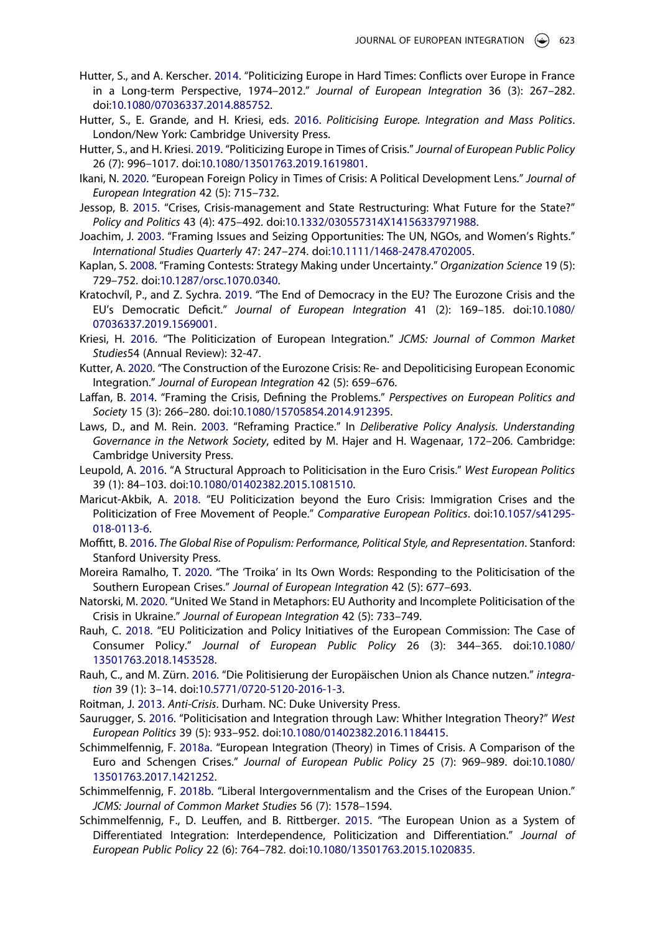- <span id="page-15-11"></span>Hutter, S., and A. Kerscher. [2014.](#page-4-1) "Politicizing Europe in Hard Times: Conflicts over Europe in France in a Long-term Perspective, 1974–2012." *Journal of European Integration* 36 (3): 267–282. doi:[10.1080/07036337.2014.885752](https://doi.org/10.1080/07036337.2014.885752).
- <span id="page-15-2"></span>Hutter, S., E. Grande, and H. Kriesi, eds. [2016](#page-2-2). *Politicising Europe. Integration and Mass Politics*. London/New York: Cambridge University Press.
- <span id="page-15-3"></span>Hutter, S., and H. Kriesi. [2019](#page-2-3). "Politicizing Europe in Times of Crisis." *Journal of European Public Policy*  26 (7): 996–1017. doi:[10.1080/13501763.2019.1619801](https://doi.org/10.1080/13501763.2019.1619801).
- <span id="page-15-7"></span>Ikani, N. [2020](#page-2-4). "European Foreign Policy in Times of Crisis: A Political Development Lens." *Journal of European Integration* 42 (5): 715–732.
- <span id="page-15-17"></span>Jessop, B. [2015.](#page-7-5) "Crises, Crisis-management and State Restructuring: What Future for the State?" *Policy and Politics* 43 (4): 475–492. doi:[10.1332/030557314X14156337971988.](https://doi.org/10.1332/030557314X14156337971988)
- <span id="page-15-23"></span>Joachim, J. [2003.](#page-10-2) "Framing Issues and Seizing Opportunities: The UN, NGOs, and Women's Rights." *International Studies Quarterly* 47: 247–274. doi:[10.1111/1468-2478.4702005.](https://doi.org/10.1111/1468-2478.4702005)
- <span id="page-15-22"></span>Kaplan, S. [2008](#page-10-3). "Framing Contests: Strategy Making under Uncertainty." *Organization Science* 19 (5): 729–752. doi:[10.1287/orsc.1070.0340](https://doi.org/10.1287/orsc.1070.0340).
- <span id="page-15-8"></span>Kratochvíl, P., and Z. Sychra. [2019.](#page-3-0) "The End of Democracy in the EU? The Eurozone Crisis and the EU's Democratic Deficit." *Journal of European Integration* 41 (2): 169–185. doi:[10.1080/](https://doi.org/10.1080/07036337.2019.1569001) [07036337.2019.1569001](https://doi.org/10.1080/07036337.2019.1569001).
- <span id="page-15-14"></span>Kriesi, H. [2016.](#page-5-2) "The Politicization of European Integration." *JCMS: Journal of Common Market Studies*54 (Annual Review): 32-47.
- <span id="page-15-4"></span>Kutter, A. [2020.](#page-2-0) "The Construction of the Eurozone Crisis: Re- and Depoliticising European Economic Integration." *Journal of European Integration* 42 (5): 659–676.
- <span id="page-15-20"></span>Laffan, B. [2014](#page-8-2). "Framing the Crisis, Defining the Problems." *Perspectives on European Politics and Society* 15 (3): 266–280. doi:[10.1080/15705854.2014.912395](https://doi.org/10.1080/15705854.2014.912395).
- <span id="page-15-21"></span>Laws, D., and M. Rein. [2003](#page-10-4). "Reframing Practice." In *Deliberative Policy Analysis. Understanding Governance in the Network Society*, edited by M. Hajer and H. Wagenaar, 172–206. Cambridge: Cambridge University Press.
- <span id="page-15-15"></span>Leupold, A. [2016.](#page-5-3) "A Structural Approach to Politicisation in the Euro Crisis." *West European Politics*  39 (1): 84–103. doi:[10.1080/01402382.2015.1081510.](https://doi.org/10.1080/01402382.2015.1081510)
- <span id="page-15-12"></span>Maricut-Akbik, A. [2018](#page-4-6). "EU Politicization beyond the Euro Crisis: Immigration Crises and the Politicization of Free Movement of People." *Comparative European Politics*. doi:[10.1057/s41295-](https://doi.org/10.1057/s41295-018-0113-6) [018-0113-6](https://doi.org/10.1057/s41295-018-0113-6).
- <span id="page-15-18"></span>Moffitt, B. [2016](#page-8-3). *The Global Rise of Populism: Performance, Political Style, and Representation*. Stanford: Stanford University Press.
- <span id="page-15-5"></span>Moreira Ramalho, T. [2020.](#page-2-0) "The 'Troika' in Its Own Words: Responding to the Politicisation of the Southern European Crises." *Journal of European Integration* 42 (5): 677–693.
- <span id="page-15-6"></span>Natorski, M. [2020](#page-2-4). "United We Stand in Metaphors: EU Authority and Incomplete Politicisation of the Crisis in Ukraine." *Journal of European Integration* 42 (5): 733–749.
- <span id="page-15-0"></span>Rauh, C. [2018](#page-2-5). "EU Politicization and Policy Initiatives of the European Commission: The Case of Consumer Policy." *Journal of European Public Policy* 26 (3): 344–365. doi:[10.1080/](https://doi.org/10.1080/13501763.2018.1453528) [13501763.2018.1453528](https://doi.org/10.1080/13501763.2018.1453528).
- <span id="page-15-1"></span>Rauh, C., and M. Zürn. [2016](#page-2-5). "Die Politisierung der Europäischen Union als Chance nutzen." *integration* 39 (1): 3–14. doi:[10.5771/0720-5120-2016-1-3.](https://doi.org/10.5771/0720-5120-2016-1-3)
- <span id="page-15-19"></span>Roitman, J. [2013](#page-8-4). *Anti-Crisis*. Durham. NC: Duke University Press.
- <span id="page-15-9"></span>Saurugger, S. [2016.](#page-3-1) "Politicisation and Integration through Law: Whither Integration Theory?" *West European Politics* 39 (5): 933–952. doi:[10.1080/01402382.2016.1184415.](https://doi.org/10.1080/01402382.2016.1184415)
- <span id="page-15-16"></span>Schimmelfennig, F. [2018a](#page-7-6). "European Integration (Theory) in Times of Crisis. A Comparison of the Euro and Schengen Crises." *Journal of European Public Policy* 25 (7): 969–989. doi:[10.1080/](https://doi.org/10.1080/13501763.2017.1421252) [13501763.2017.1421252](https://doi.org/10.1080/13501763.2017.1421252).
- <span id="page-15-10"></span>Schimmelfennig, F. [2018b](#page-3-1). "Liberal Intergovernmentalism and the Crises of the European Union." *JCMS: Journal of Common Market Studies* 56 (7): 1578–1594.
- <span id="page-15-13"></span>Schimmelfennig, F., D. Leuffen, and B. Rittberger. [2015.](#page-4-7) "The European Union as a System of Differentiated Integration: Interdependence, Politicization and Differentiation." *Journal of European Public Policy* 22 (6): 764–782. doi:[10.1080/13501763.2015.1020835](https://doi.org/10.1080/13501763.2015.1020835).